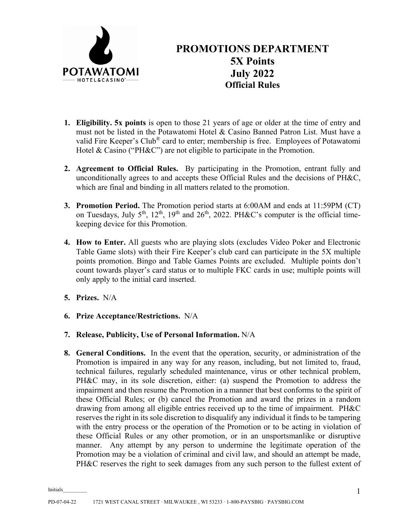

## **PROMOTIONS DEPARTMENT 5X Points July 2022 Official Rules**

- **1. Eligibility. 5x points** is open to those 21 years of age or older at the time of entry and must not be listed in the Potawatomi Hotel & Casino Banned Patron List. Must have a valid Fire Keeper's Club® card to enter; membership is free. Employees of Potawatomi Hotel & Casino ("PH&C") are not eligible to participate in the Promotion.
- **2. Agreement to Official Rules.** By participating in the Promotion, entrant fully and unconditionally agrees to and accepts these Official Rules and the decisions of PH&C, which are final and binding in all matters related to the promotion.
- **3. Promotion Period.** The Promotion period starts at 6:00AM and ends at 11:59PM (CT) on Tuesdays, July  $5<sup>th</sup>$ ,  $12<sup>th</sup>$ ,  $19<sup>th</sup>$  and  $26<sup>th</sup>$ ,  $2022$ . PH&C's computer is the official timekeeping device for this Promotion.
- **4. How to Enter.** All guests who are playing slots (excludes Video Poker and Electronic Table Game slots) with their Fire Keeper's club card can participate in the 5X multiple points promotion. Bingo and Table Games Points are excluded. Multiple points don't count towards player's card status or to multiple FKC cards in use; multiple points will only apply to the initial card inserted.
- **5. Prizes.** N/A
- **6. Prize Acceptance/Restrictions.** N/A
- **7. Release, Publicity, Use of Personal Information.** N/A
- **8. General Conditions.** In the event that the operation, security, or administration of the Promotion is impaired in any way for any reason, including, but not limited to, fraud, technical failures, regularly scheduled maintenance, virus or other technical problem, PH&C may, in its sole discretion, either: (a) suspend the Promotion to address the impairment and then resume the Promotion in a manner that best conforms to the spirit of these Official Rules; or (b) cancel the Promotion and award the prizes in a random drawing from among all eligible entries received up to the time of impairment. PH&C reserves the right in its sole discretion to disqualify any individual it finds to be tampering with the entry process or the operation of the Promotion or to be acting in violation of these Official Rules or any other promotion, or in an unsportsmanlike or disruptive manner. Any attempt by any person to undermine the legitimate operation of the Promotion may be a violation of criminal and civil law, and should an attempt be made, PH&C reserves the right to seek damages from any such person to the fullest extent of

Initials\_\_\_\_\_\_\_\_\_